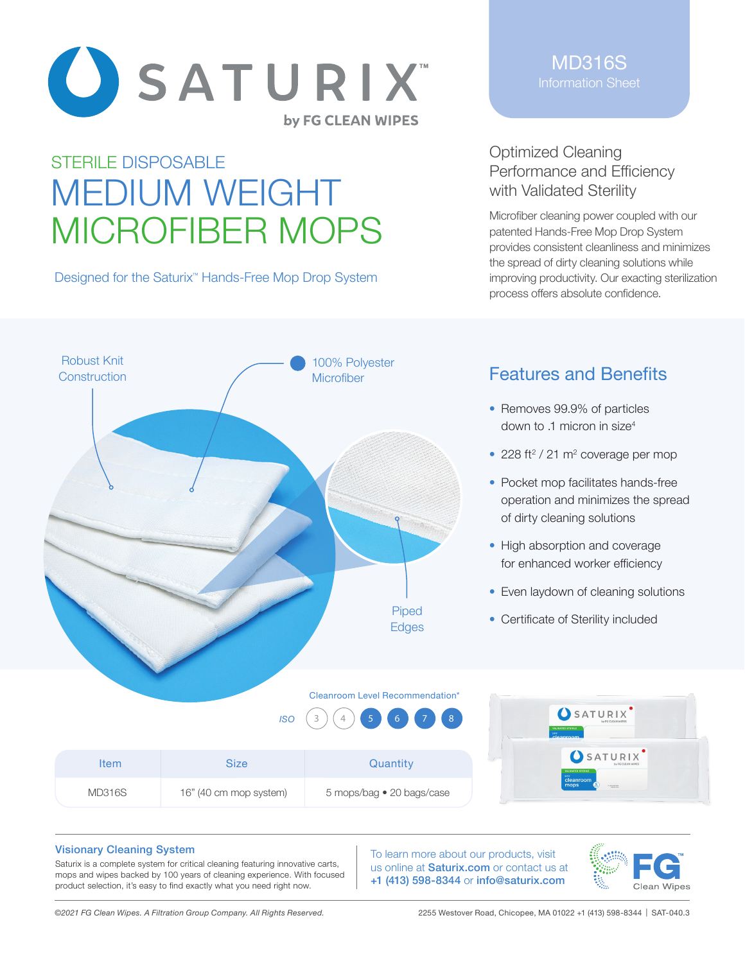

# STERILE DISPOSABLE MEDIUM WEIGHT MICROFIBER MOPS

Designed for the Saturix<sup>™</sup> Hands-Free Mop Drop System

MD316S Information Sheet

### Optimized Cleaning Performance and Efficiency with Validated Sterility

Microfiber cleaning power coupled with our patented Hands-Free Mop Drop System provides consistent cleanliness and minimizes the spread of dirty cleaning solutions while improving productivity. Our exacting sterilization process offers absolute confidence.



# Features and Benefits

- Removes 99.9% of particles down to .1 micron in size<sup>4</sup>
- 228 ft<sup>2</sup> / 21 m<sup>2</sup> coverage per mop
- Pocket mop facilitates hands-free operation and minimizes the spread of dirty cleaning solutions
- High absorption and coverage for enhanced worker efficiency
- Even laydown of cleaning solutions
- Certificate of Sterility included

| $1SO(3)(4)$ 5 6 7 8 |                        |                           | SATURIX<br><b>VALIDATED STERILE</b><br>cleanroom |  |
|---------------------|------------------------|---------------------------|--------------------------------------------------|--|
| <b>Item</b>         | <b>Size</b>            | Quantity                  | SATURIX<br>VALIDATED STERILE                     |  |
| <b>MD316S</b>       | 16" (40 cm mop system) | 5 mops/bag • 20 bags/case | cleanroom<br>mops<br><b>ATTACHERS</b>            |  |

#### Visionary Cleaning System

Saturix is a complete system for critical cleaning featuring innovative carts, mops and wipes backed by 100 years of cleaning experience. With focused product selection, it's easy to find exactly what you need right now.

To learn more about our products, visit us online at **Saturix.com** or contact us at +1 (413) 598-8344 or info@saturix.com



*©2021 FG Clean Wipes. A Filtration Group Company. All Rights Reserved.* 2255 Westover Road, Chicopee, MA 01022 +1 (413) 598-8344 | SAT-040.3